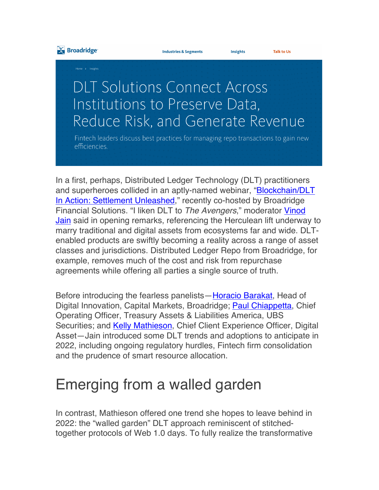

**Talk to Us** 

Insights

## **DLT Solutions Connect Across** Institutions to Preserve Data, Reduce Risk, and Generate Revenue

Fintech leaders discuss best practices for managing repo transactions to gain new efficiencies.

In a first, perhaps, Distributed Ledger Technology (DLT) practitioners and superheroes collided in an aptly-named webinar, "Blockchain/DLT In Action: Settlement Unleashed," recently co-hosted by Broadridge Financial Solutions. "I liken DLT to *The Avengers*," moderator Vinod Jain said in opening remarks, referencing the Herculean lift underway to marry traditional and digital assets from ecosystems far and wide. DLTenabled products are swiftly becoming a reality across a range of asset classes and jurisdictions. Distributed Ledger Repo from Broadridge, for example, removes much of the cost and risk from repurchase agreements while offering all parties a single source of truth.

Before introducing the fearless panelists—Horacio Barakat, Head of Digital Innovation, Capital Markets, Broadridge; **Paul Chiappetta**, Chief Operating Officer, Treasury Assets & Liabilities America, UBS Securities; and **Kelly Mathieson**, Chief Client Experience Officer, Digital Asset—Jain introduced some DLT trends and adoptions to anticipate in 2022, including ongoing regulatory hurdles, Fintech firm consolidation and the prudence of smart resource allocation.

## Emerging from a walled garden

In contrast, Mathieson offered one trend she hopes to leave behind in 2022: the "walled garden" DLT approach reminiscent of stitchedtogether protocols of Web 1.0 days. To fully realize the transformative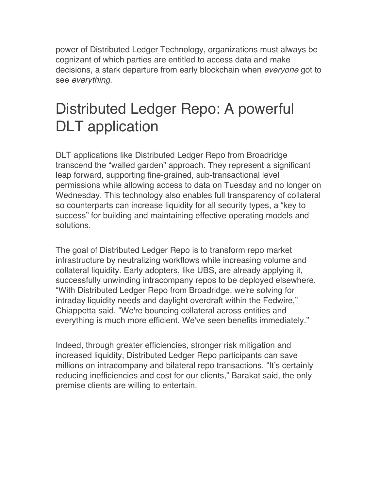power of Distributed Ledger Technology, organizations must always be cognizant of which parties are entitled to access data and make decisions, a stark departure from early blockchain when *everyone* got to see *everything*.

## Distributed Ledger Repo: A powerful DLT application

DLT applications like Distributed Ledger Repo from Broadridge transcend the "walled garden" approach. They represent a significant leap forward, supporting fine-grained, sub-transactional level permissions while allowing access to data on Tuesday and no longer on Wednesday. This technology also enables full transparency of collateral so counterparts can increase liquidity for all security types, a "key to success" for building and maintaining effective operating models and solutions.

The goal of Distributed Ledger Repo is to transform repo market infrastructure by neutralizing workflows while increasing volume and collateral liquidity. Early adopters, like UBS, are already applying it, successfully unwinding intracompany repos to be deployed elsewhere. "With Distributed Ledger Repo from Broadridge, we're solving for intraday liquidity needs and daylight overdraft within the Fedwire," Chiappetta said. "We're bouncing collateral across entities and everything is much more efficient. We've seen benefits immediately."

Indeed, through greater efficiencies, stronger risk mitigation and increased liquidity, Distributed Ledger Repo participants can save millions on intracompany and bilateral repo transactions. "It's certainly reducing inefficiencies and cost for our clients," Barakat said, the only premise clients are willing to entertain.